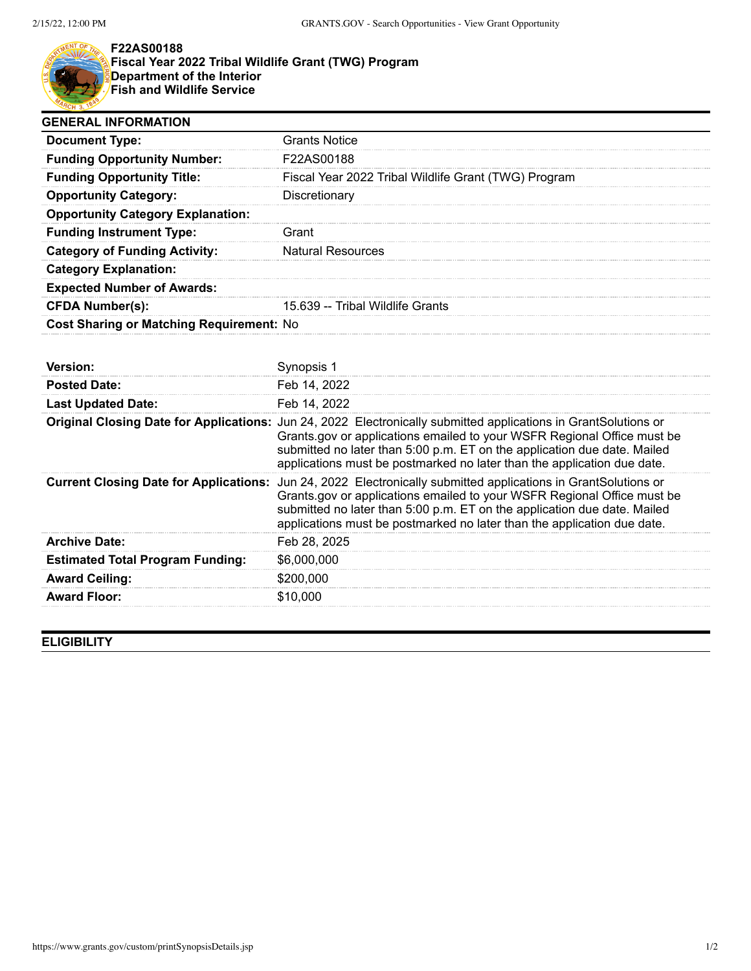

## **F22AS00188**

**Fiscal Year 2022 Tribal Wildlife Grant (TWG) Program Department of the Interior Fish and Wildlife Service**

| <b>GENERAL INFORMATION</b>                      |                                                      |  |
|-------------------------------------------------|------------------------------------------------------|--|
| <b>Document Type:</b>                           | Grants Notice                                        |  |
| <b>Funding Opportunity Number:</b>              | <b>F22AS00188</b>                                    |  |
| <b>Funding Opportunity Title:</b>               | Fiscal Year 2022 Tribal Wildlife Grant (TWG) Program |  |
| <b>Opportunity Category:</b>                    | Discretionary                                        |  |
| <b>Opportunity Category Explanation:</b>        |                                                      |  |
| <b>Funding Instrument Type:</b>                 | Grant                                                |  |
| <b>Category of Funding Activity:</b>            | <b>Natural Resources</b>                             |  |
| <b>Category Explanation:</b>                    |                                                      |  |
| <b>Expected Number of Awards:</b>               |                                                      |  |
| <b>CFDA Number(s):</b>                          | 15.639 -- Tribal Wildlife Grants                     |  |
| <b>Cost Sharing or Matching Requirement: No</b> |                                                      |  |

| <b>Version:</b>                         |                                                                                                                                                                                                                                                                                                                                                   |
|-----------------------------------------|---------------------------------------------------------------------------------------------------------------------------------------------------------------------------------------------------------------------------------------------------------------------------------------------------------------------------------------------------|
| <b>Posted Date:</b>                     | Feb 14, 2022                                                                                                                                                                                                                                                                                                                                      |
| <b>Last Updated Date:</b>               | Feb 14, 2022                                                                                                                                                                                                                                                                                                                                      |
|                                         | Original Closing Date for Applications: Jun 24, 2022 Electronically submitted applications in GrantSolutions or<br>Grants.gov or applications emailed to your WSFR Regional Office must be<br>submitted no later than 5:00 p.m. ET on the application due date. Mailed<br>applications must be postmarked no later than the application due date. |
|                                         | Current Closing Date for Applications: Jun 24, 2022 Electronically submitted applications in GrantSolutions or<br>Grants.gov or applications emailed to your WSFR Regional Office must be<br>submitted no later than 5:00 p.m. ET on the application due date. Mailed<br>applications must be postmarked no later than the application due date.  |
| <b>Archive Date:</b>                    | Feb 28, 2025                                                                                                                                                                                                                                                                                                                                      |
| <b>Estimated Total Program Funding:</b> | \$6,000,000                                                                                                                                                                                                                                                                                                                                       |
| <b>Award Ceiling:</b>                   | \$200,000                                                                                                                                                                                                                                                                                                                                         |
| <b>Award Floor:</b>                     | \$10.000                                                                                                                                                                                                                                                                                                                                          |

## **ELIGIBILITY**